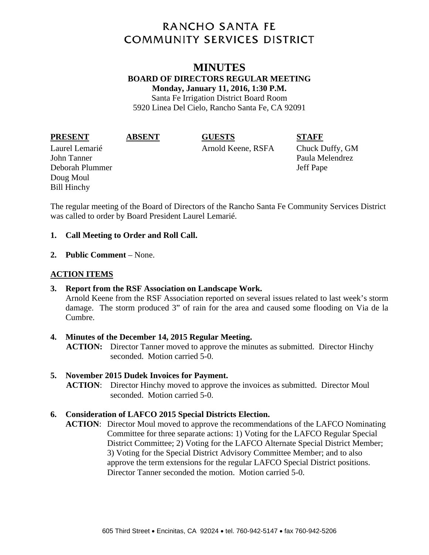# **RANCHO SANTA FE COMMUNITY SERVICES DISTRICT**

### **MINUTES BOARD OF DIRECTORS REGULAR MEETING Monday, January 11, 2016, 1:30 P.M.**  Santa Fe Irrigation District Board Room

5920 Linea Del Cielo, Rancho Santa Fe, CA 92091

**PRESENT ABSENT GUESTS STAFF** 

Laurel Lemarié Arnold Keene, RSFA Chuck Duffy, GM

John Tanner Paula Melendrez Deborah Plummer Jeff Pape Doug Moul Bill Hinchy

The regular meeting of the Board of Directors of the Rancho Santa Fe Community Services District was called to order by Board President Laurel Lemarié.

#### **1. Call Meeting to Order and Roll Call.**

**2. Public Comment** – None.

# **ACTION ITEMS**

**3. Report from the RSF Association on Landscape Work.**  Arnold Keene from the RSF Association reported on several issues related to last week's storm damage. The storm produced 3" of rain for the area and caused some flooding on Via de la Cumbre.

#### **4. Minutes of the December 14, 2015 Regular Meeting. ACTION:** Director Tanner moved to approve the minutes as submitted. Director Hinchy seconded. Motion carried 5-0.

## **5. November 2015 Dudek Invoices for Payment.**

**ACTION**: Director Hinchy moved to approve the invoices as submitted. Director Moul seconded. Motion carried 5-0.

## **6. Consideration of LAFCO 2015 Special Districts Election.**

**ACTION**: Director Moul moved to approve the recommendations of the LAFCO Nominating Committee for three separate actions: 1) Voting for the LAFCO Regular Special District Committee; 2) Voting for the LAFCO Alternate Special District Member; 3) Voting for the Special District Advisory Committee Member; and to also approve the term extensions for the regular LAFCO Special District positions. Director Tanner seconded the motion. Motion carried 5-0.